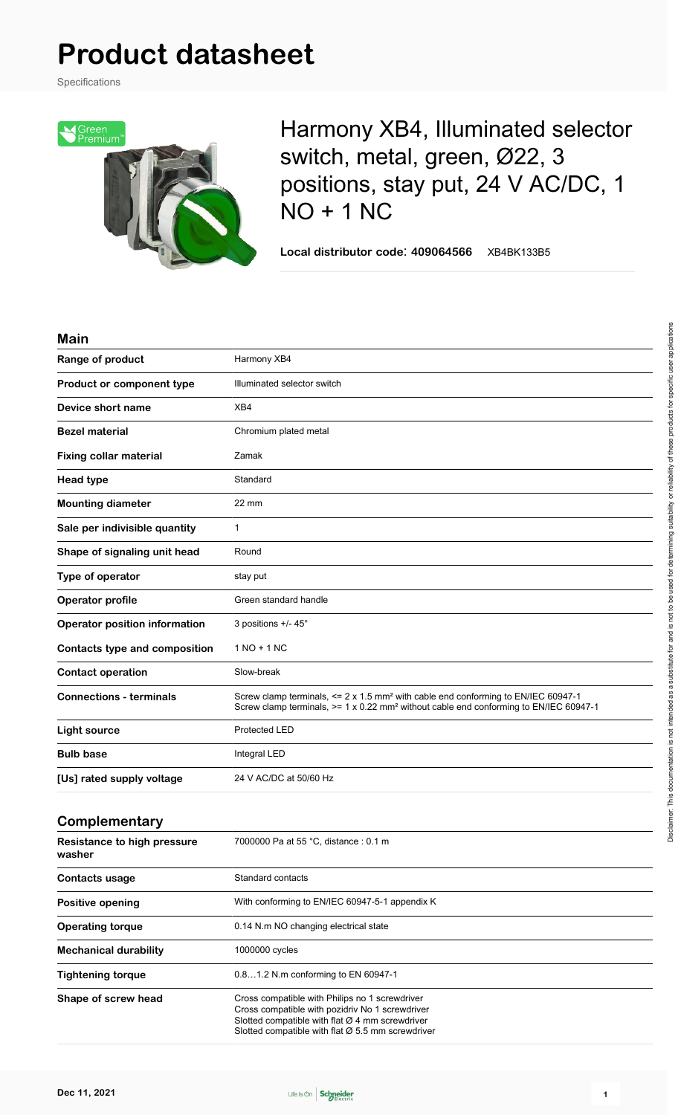# **Product datasheet**

Specifications



Harmony XB4, Illuminated selector switch, metal, green, Ø22, 3 positions, stay put, 24 V AC/DC, 1 NO + 1 NC

**Local distributor code**: **409064566** XB4BK133B5

#### **Main**

| Range of product                             | Harmony XB4                                                                                                                                                                                                        |  |
|----------------------------------------------|--------------------------------------------------------------------------------------------------------------------------------------------------------------------------------------------------------------------|--|
| Product or component type                    | Illuminated selector switch                                                                                                                                                                                        |  |
| Device short name                            | XB4                                                                                                                                                                                                                |  |
| <b>Bezel material</b>                        | Chromium plated metal                                                                                                                                                                                              |  |
| <b>Fixing collar material</b>                | Zamak                                                                                                                                                                                                              |  |
| <b>Head type</b>                             | Standard                                                                                                                                                                                                           |  |
| <b>Mounting diameter</b>                     | $22 \text{ mm}$                                                                                                                                                                                                    |  |
| Sale per indivisible quantity                | $\mathbf{1}$                                                                                                                                                                                                       |  |
| Shape of signaling unit head                 | Round                                                                                                                                                                                                              |  |
| Type of operator                             | stay put                                                                                                                                                                                                           |  |
| Operator profile                             | Green standard handle                                                                                                                                                                                              |  |
| <b>Operator position information</b>         | 3 positions +/- 45°                                                                                                                                                                                                |  |
| <b>Contacts type and composition</b>         | $1 NQ + 1 NC$                                                                                                                                                                                                      |  |
| <b>Contact operation</b>                     | Slow-break                                                                                                                                                                                                         |  |
| <b>Connections - terminals</b>               | Screw clamp terminals, $\leq 2 \times 1.5$ mm <sup>2</sup> with cable end conforming to EN/IEC 60947-1<br>Screw clamp terminals, $>= 1 \times 0.22$ mm <sup>2</sup> without cable end conforming to EN/IEC 60947-1 |  |
| <b>Light source</b>                          | <b>Protected LED</b>                                                                                                                                                                                               |  |
| <b>Bulb base</b>                             | Integral LED                                                                                                                                                                                                       |  |
| [Us] rated supply voltage                    | 24 V AC/DC at 50/60 Hz                                                                                                                                                                                             |  |
| Complementary                                |                                                                                                                                                                                                                    |  |
| <b>Resistance to high pressure</b><br>washer | 7000000 Pa at 55 °C, distance : 0.1 m                                                                                                                                                                              |  |
|                                              |                                                                                                                                                                                                                    |  |

| <b>Contacts usage</b>        | Standard contacts<br>With conforming to EN/IEC 60947-5-1 appendix K                                                                                                                                                     |  |
|------------------------------|-------------------------------------------------------------------------------------------------------------------------------------------------------------------------------------------------------------------------|--|
| Positive opening             |                                                                                                                                                                                                                         |  |
| <b>Operating torque</b>      | 0.14 N.m NO changing electrical state                                                                                                                                                                                   |  |
| <b>Mechanical durability</b> | 1000000 cycles                                                                                                                                                                                                          |  |
| <b>Tightening torque</b>     | 0.81.2 N.m conforming to EN 60947-1                                                                                                                                                                                     |  |
| Shape of screw head          | Cross compatible with Philips no 1 screwdriver<br>Cross compatible with pozidriv No 1 screwdriver<br>Slotted compatible with flat $Ø$ 4 mm screwdriver<br>Slotted compatible with flat $\varnothing$ 5.5 mm screwdriver |  |

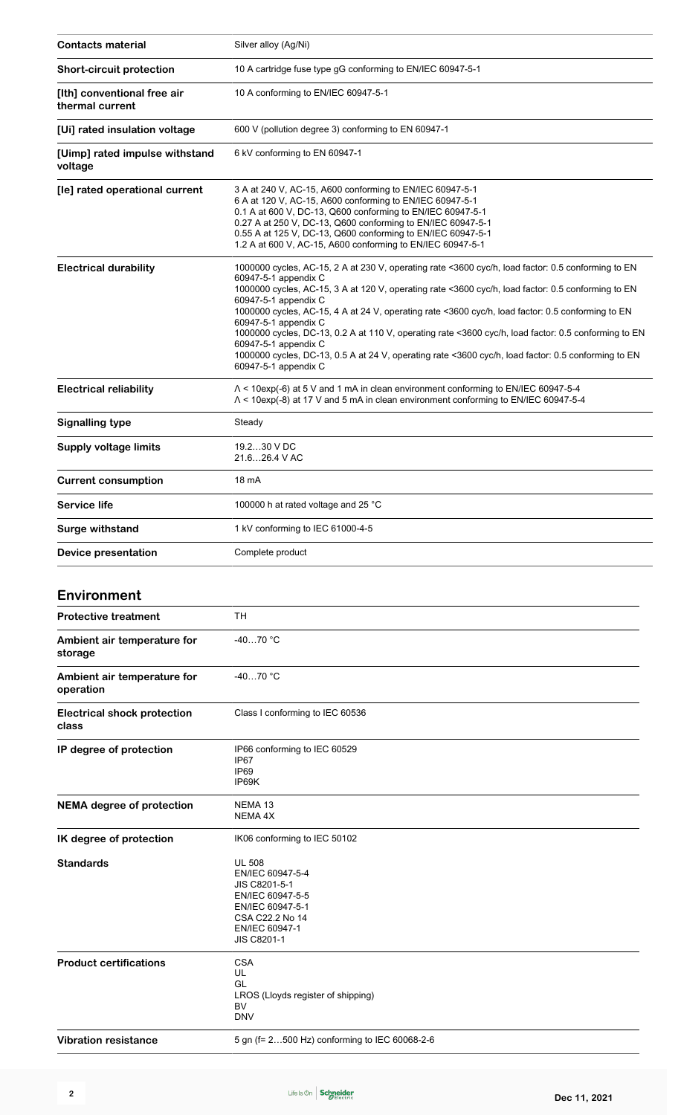| <b>Contacts material</b>                       | Silver alloy (Ag/Ni)                                                                                                                                                                                                                                                                                                                                                                                                                                                                                                                                                                                                                                 |  |
|------------------------------------------------|------------------------------------------------------------------------------------------------------------------------------------------------------------------------------------------------------------------------------------------------------------------------------------------------------------------------------------------------------------------------------------------------------------------------------------------------------------------------------------------------------------------------------------------------------------------------------------------------------------------------------------------------------|--|
| <b>Short-circuit protection</b>                | 10 A cartridge fuse type gG conforming to EN/IEC 60947-5-1                                                                                                                                                                                                                                                                                                                                                                                                                                                                                                                                                                                           |  |
| [Ith] conventional free air<br>thermal current | 10 A conforming to EN/IEC 60947-5-1                                                                                                                                                                                                                                                                                                                                                                                                                                                                                                                                                                                                                  |  |
| [Ui] rated insulation voltage                  | 600 V (pollution degree 3) conforming to EN 60947-1                                                                                                                                                                                                                                                                                                                                                                                                                                                                                                                                                                                                  |  |
| [Uimp] rated impulse withstand<br>voltage      | 6 kV conforming to EN 60947-1                                                                                                                                                                                                                                                                                                                                                                                                                                                                                                                                                                                                                        |  |
| [le] rated operational current                 | 3 A at 240 V, AC-15, A600 conforming to EN/IEC 60947-5-1<br>6 A at 120 V, AC-15, A600 conforming to EN/IEC 60947-5-1<br>0.1 A at 600 V, DC-13, Q600 conforming to EN/IEC 60947-5-1<br>0.27 A at 250 V, DC-13, Q600 conforming to EN/IEC 60947-5-1<br>0.55 A at 125 V, DC-13, Q600 conforming to EN/IEC 60947-5-1<br>1.2 A at 600 V, AC-15, A600 conforming to EN/IEC 60947-5-1                                                                                                                                                                                                                                                                       |  |
| <b>Electrical durability</b>                   | 1000000 cycles, AC-15, 2 A at 230 V, operating rate <3600 cyc/h, load factor: 0.5 conforming to EN<br>60947-5-1 appendix C<br>1000000 cycles, AC-15, 3 A at 120 V, operating rate <3600 cyc/h, load factor: 0.5 conforming to EN<br>60947-5-1 appendix C<br>1000000 cycles, AC-15, 4 A at 24 V, operating rate <3600 cyc/h, load factor: 0.5 conforming to EN<br>60947-5-1 appendix C<br>1000000 cycles, DC-13, 0.2 A at 110 V, operating rate <3600 cyc/h, load factor: 0.5 conforming to EN<br>60947-5-1 appendix C<br>1000000 cycles, DC-13, 0.5 A at 24 V, operating rate <3600 cyc/h, load factor: 0.5 conforming to EN<br>60947-5-1 appendix C |  |
| <b>Electrical reliability</b>                  | $\Lambda$ < 10exp(-6) at 5 V and 1 mA in clean environment conforming to EN/IEC 60947-5-4<br>$\Lambda$ < 10exp(-8) at 17 V and 5 mA in clean environment conforming to EN/IEC 60947-5-4                                                                                                                                                                                                                                                                                                                                                                                                                                                              |  |
| <b>Signalling type</b>                         | Steady                                                                                                                                                                                                                                                                                                                                                                                                                                                                                                                                                                                                                                               |  |
| <b>Supply voltage limits</b>                   | 19.230 V DC<br>21.626.4 V AC                                                                                                                                                                                                                                                                                                                                                                                                                                                                                                                                                                                                                         |  |
| <b>Current consumption</b>                     | 18 mA                                                                                                                                                                                                                                                                                                                                                                                                                                                                                                                                                                                                                                                |  |
| <b>Service life</b>                            | 100000 h at rated voltage and 25 °C                                                                                                                                                                                                                                                                                                                                                                                                                                                                                                                                                                                                                  |  |
| <b>Surge withstand</b>                         | 1 kV conforming to IEC 61000-4-5                                                                                                                                                                                                                                                                                                                                                                                                                                                                                                                                                                                                                     |  |
| <b>Device presentation</b>                     | Complete product                                                                                                                                                                                                                                                                                                                                                                                                                                                                                                                                                                                                                                     |  |
| <b>Environment</b>                             |                                                                                                                                                                                                                                                                                                                                                                                                                                                                                                                                                                                                                                                      |  |
| <b>Protective treatment</b>                    | <b>TH</b>                                                                                                                                                                                                                                                                                                                                                                                                                                                                                                                                                                                                                                            |  |
|                                                |                                                                                                                                                                                                                                                                                                                                                                                                                                                                                                                                                                                                                                                      |  |
| Ambient air temperature for<br>storage         | -40…70 °C                                                                                                                                                                                                                                                                                                                                                                                                                                                                                                                                                                                                                                            |  |
| Ambient air temperature for<br>operation       | $-4070 °C$                                                                                                                                                                                                                                                                                                                                                                                                                                                                                                                                                                                                                                           |  |
| <b>Electrical shock protection</b><br>class    | Class I conforming to IEC 60536                                                                                                                                                                                                                                                                                                                                                                                                                                                                                                                                                                                                                      |  |
| IP degree of protection                        | IP66 conforming to IEC 60529<br>IP67<br>IP <sub>69</sub><br>IP69K                                                                                                                                                                                                                                                                                                                                                                                                                                                                                                                                                                                    |  |
| <b>NEMA degree of protection</b>               | NEMA 13<br><b>NEMA 4X</b>                                                                                                                                                                                                                                                                                                                                                                                                                                                                                                                                                                                                                            |  |
| IK degree of protection                        | IK06 conforming to IEC 50102                                                                                                                                                                                                                                                                                                                                                                                                                                                                                                                                                                                                                         |  |
| <b>Standards</b>                               | <b>UL 508</b><br>EN/IEC 60947-5-4<br>JIS C8201-5-1<br>EN/IEC 60947-5-5<br>EN/IEC 60947-5-1<br>CSA C22.2 No 14<br>EN/IEC 60947-1<br><b>JIS C8201-1</b>                                                                                                                                                                                                                                                                                                                                                                                                                                                                                                |  |
| <b>Product certifications</b>                  | <b>CSA</b><br>UL<br>GL                                                                                                                                                                                                                                                                                                                                                                                                                                                                                                                                                                                                                               |  |

**Vibration resistance** 5 gn (f= 2...500 Hz) conforming to IEC 60068-2-6

LROS (Lloyds register of shipping)

BV DNV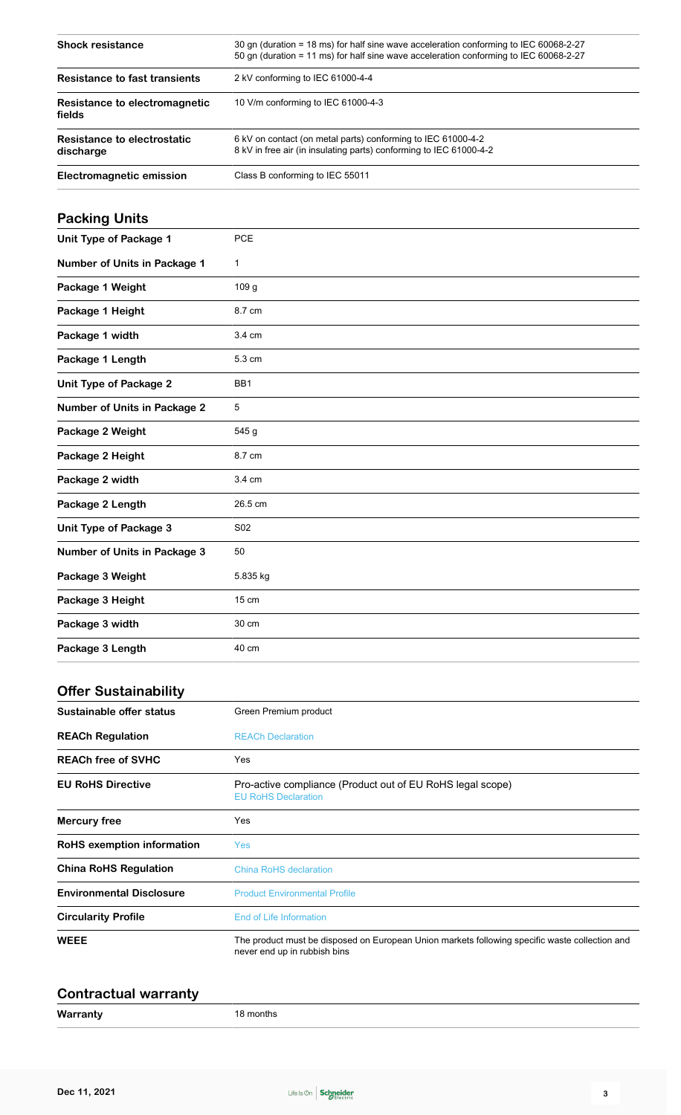| <b>Shock resistance</b>                  | 30 gn (duration = 18 ms) for half sine wave acceleration conforming to IEC 60068-2-27<br>50 gn (duration = 11 ms) for half sine wave acceleration conforming to IEC 60068-2-27 |  |
|------------------------------------------|--------------------------------------------------------------------------------------------------------------------------------------------------------------------------------|--|
| Resistance to fast transients            | 2 kV conforming to IEC 61000-4-4<br>10 V/m conforming to IEC 61000-4-3                                                                                                         |  |
| Resistance to electromagnetic<br>fields  |                                                                                                                                                                                |  |
| Resistance to electrostatic<br>discharge | 6 kV on contact (on metal parts) conforming to IEC 61000-4-2<br>8 kV in free air (in insulating parts) conforming to IEC 61000-4-2                                             |  |
| Electromagnetic emission                 | Class B conforming to IEC 55011                                                                                                                                                |  |

## **Packing Units**

| <b>Unit Type of Package 1</b>       | PCE             |
|-------------------------------------|-----------------|
| <b>Number of Units in Package 1</b> | $\mathbf{1}$    |
| Package 1 Weight                    | 109 g           |
| Package 1 Height                    | 8.7 cm          |
| Package 1 width                     | 3.4 cm          |
| Package 1 Length                    | 5.3 cm          |
| <b>Unit Type of Package 2</b>       | BB1             |
| <b>Number of Units in Package 2</b> | 5               |
| Package 2 Weight                    | 545 g           |
| Package 2 Height                    | 8.7 cm          |
| Package 2 width                     | 3.4 cm          |
| Package 2 Length                    | 26.5 cm         |
| <b>Unit Type of Package 3</b>       | S <sub>02</sub> |
| <b>Number of Units in Package 3</b> | 50              |
| Package 3 Weight                    | 5.835 kg        |
| Package 3 Height                    | 15 cm           |
| Package 3 width                     | 30 cm           |
| Package 3 Length                    | 40 cm           |

#### **Offer Sustainability**

| Sustainable offer status          | Green Premium product                                                                                                          |  |
|-----------------------------------|--------------------------------------------------------------------------------------------------------------------------------|--|
| <b>REACh Regulation</b>           | <b>REACh Declaration</b>                                                                                                       |  |
| <b>REACh free of SVHC</b>         | Yes                                                                                                                            |  |
| <b>EU RoHS Directive</b>          | Pro-active compliance (Product out of EU RoHS legal scope)<br><b>EU RoHS Declaration</b>                                       |  |
| <b>Mercury free</b>               | Yes                                                                                                                            |  |
| <b>RoHS</b> exemption information | <b>Yes</b>                                                                                                                     |  |
| <b>China RoHS Regulation</b>      | <b>China RoHS declaration</b>                                                                                                  |  |
| <b>Environmental Disclosure</b>   | <b>Product Environmental Profile</b>                                                                                           |  |
| <b>Circularity Profile</b>        | End of Life Information                                                                                                        |  |
| <b>WEEE</b>                       | The product must be disposed on European Union markets following specific waste collection and<br>never end up in rubbish bins |  |

#### **Contractual warranty**

**Warranty** 18 months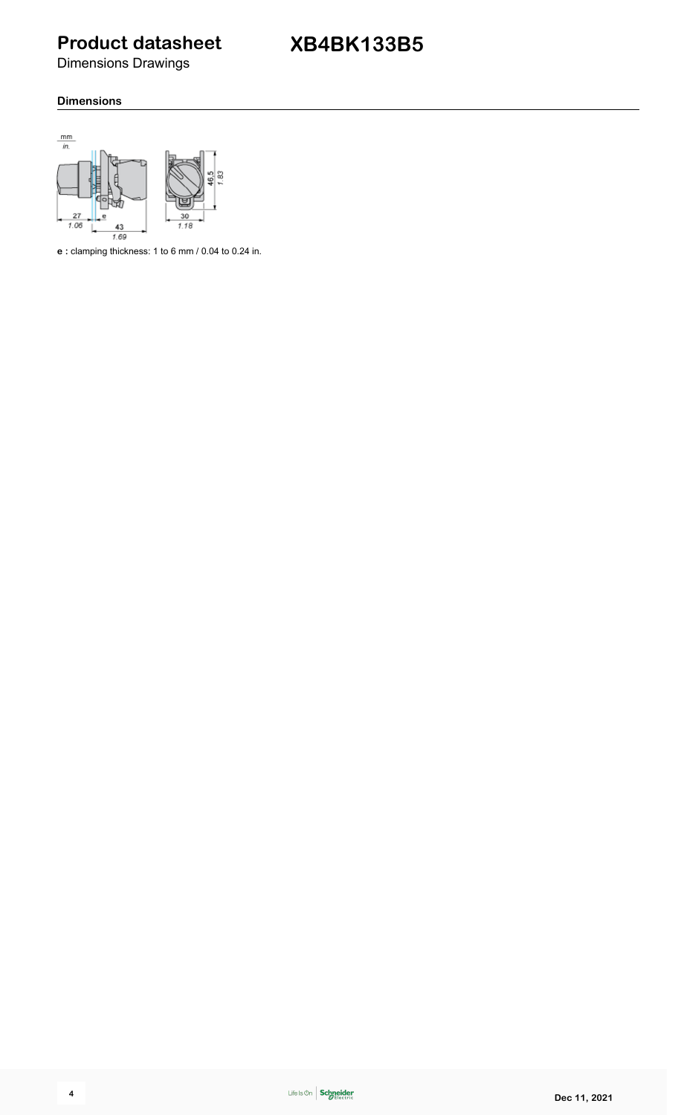**Product datasheet**

Dimensions Drawings

#### **Dimensions**



**e :** clamping thickness: 1 to 6 mm / 0.04 to 0.24 in.

$$
\mathbf{4}^{\prime}
$$